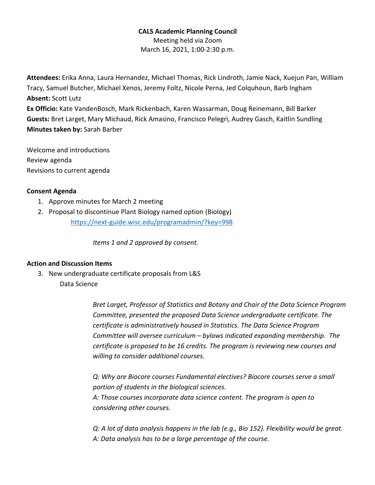# **CALS Academic Planning Council**

Meeting held via Zoom March 16, 2021, 1:00-2:30 p.m.

**Attendees:** Erika Anna, Laura Hernandez, Michael Thomas, Rick Lindroth, Jamie Nack, Xuejun Pan, William Tracy, Samuel Butcher, Michael Xenos, Jeremy Foltz, Nicole Perna, Jed Colquhoun, Barb Ingham **Absent:** Scott Lutz

**Ex Officio:** Kate VandenBosch, Mark Rickenbach, Karen Wassarman, Doug Reinemann, Bill Barker **Guests:** Bret Larget, Mary Michaud, Rick Amasino, Francisco Pelegri, Audrey Gasch, Kaitlin Sundling **Minutes taken by:** Sarah Barber

Welcome and introductions Review agenda Revisions to current agenda

## **Consent Agenda**

- 1. Approve minutes for March 2 meeting
- 2. Proposal to discontinue Plant Biology named option (Biology) https://next-guide.wisc.edu/programadmin/?key=998

*Items 1 and 2 approved by consent.*

## **Action and Discussion Items**

3. New undergraduate certificate proposals from L&S Data Science

> *Bret Larget, Professor of Statistics and Botany and Chair of the Data Science Program Committee, presented the proposed Data Science undergraduate certificate. The certificate is administratively housed in Statistics. The Data Science Program Committee will oversee curriculum – bylaws indicated expanding membership. The certificate is proposed to be 16 credits. The program is reviewing new courses and willing to consider additional courses.*

*Q: Why are Biocore courses Fundamental electives? Biocore courses serve a small portion of students in the biological sciences. A: Those courses incorporate data science content. The program is open to considering other courses.*

*Q: A lot of data analysis happens in the lab (e.g., Bio 152). Flexibility would be great. A: Data analysis has to be a large percentage of the course.*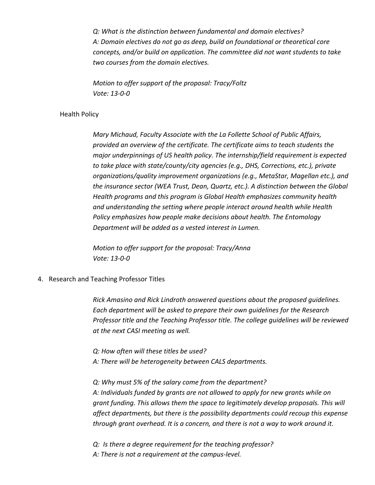*Q: What is the distinction between fundamental and domain electives? A: Domain electives do not go as deep, build on foundational or theoretical core concepts, and/or build on application. The committee did not want students to take two courses from the domain electives.*

*Motion to offer support of the proposal: Tracy/Foltz Vote: 13-0-0*

#### Health Policy

*Mary Michaud, Faculty Associate with the La Follette School of Public Affairs, provided an overview of the certificate. The certificate aims to teach students the major underpinnings of US health policy. The internship/field requirement is expected to take place with state/county/city agencies (e.g., DHS, Corrections, etc.), private organizations/quality improvement organizations (e.g., MetaStar, Magellan etc.), and the insurance sector (WEA Trust, Dean, Quartz, etc.). A distinction between the Global Health programs and this program is Global Health emphasizes community health and understanding the setting where people interact around health while Health Policy emphasizes how people make decisions about health. The Entomology Department will be added as a vested interest in Lumen.* 

*Motion to offer support for the proposal: Tracy/Anna Vote: 13-0-0*

4. Research and Teaching Professor Titles

*Rick Amasino and Rick Lindroth answered questions about the proposed guidelines. Each department will be asked to prepare their own guidelines for the Research Professor title and the Teaching Professor title. The college guidelines will be reviewed at the next CASI meeting as well.* 

*Q: How often will these titles be used? A: There will be heterogeneity between CALS departments.* 

*Q: Why must 5% of the salary come from the department? A: Individuals funded by grants are not allowed to apply for new grants while on grant funding. This allows them the space to legitimately develop proposals. This will affect departments, but there is the possibility departments could recoup this expense through grant overhead. It is a concern, and there is not a way to work around it.*

*Q: Is there a degree requirement for the teaching professor? A: There is not a requirement at the campus-level.*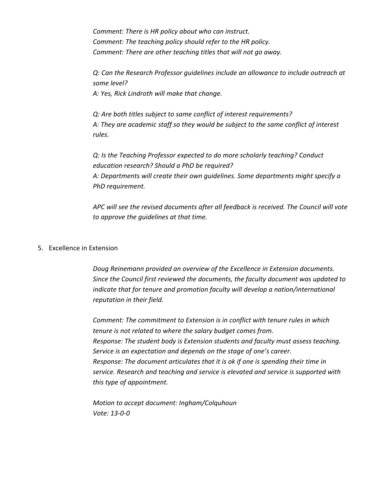*Comment: There is HR policy about who can instruct. Comment: The teaching policy should refer to the HR policy. Comment: There are other teaching titles that will not go away.*

*Q: Can the Research Professor guidelines include an allowance to include outreach at some level?*

*A: Yes, Rick Lindroth will make that change.*

*Q: Are both titles subject to same conflict of interest requirements? A: They are academic staff so they would be subject to the same conflict of interest rules.*

*Q: Is the Teaching Professor expected to do more scholarly teaching? Conduct education research? Should a PhD be required? A: Departments will create their own guidelines. Some departments might specify a PhD requirement.* 

*APC will see the revised documents after all feedback is received. The Council will vote to approve the guidelines at that time.*

## 5. Excellence in Extension

*Doug Reinemann provided an overview of the Excellence in Extension documents. Since the Council first reviewed the documents, the faculty document was updated to indicate that for tenure and promotion faculty will develop a nation/international reputation in their field.* 

*Comment: The commitment to Extension is in conflict with tenure rules in which tenure is not related to where the salary budget comes from. Response: The student body is Extension students and faculty must assess teaching. Service is an expectation and depends on the stage of one's career. Response: The document articulates that it is ok if one is spending their time in service. Research and teaching and service is elevated and service is supported with this type of appointment.* 

*Motion to accept document: Ingham/Colquhoun Vote: 13-0-0*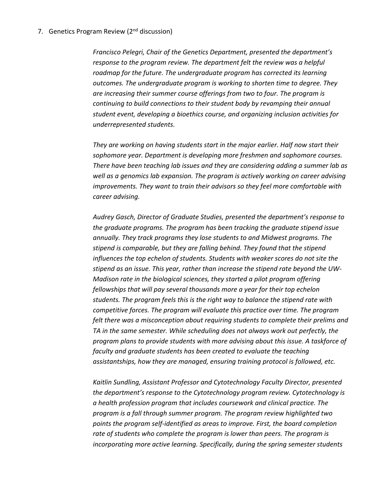## 7. Genetics Program Review (2<sup>nd</sup> discussion)

*Francisco Pelegri, Chair of the Genetics Department, presented the department's response to the program review. The department felt the review was a helpful roadmap for the future. The undergraduate program has corrected its learning outcomes. The undergraduate program is working to shorten time to degree. They are increasing their summer course offerings from two to four. The program is continuing to build connections to their student body by revamping their annual student event, developing a bioethics course, and organizing inclusion activities for underrepresented students.* 

*They are working on having students start in the major earlier. Half now start their sophomore year. Department is developing more freshmen and sophomore courses. There have been teaching lab issues and they are considering adding a summer lab as well as a genomics lab expansion. The program is actively working on career advising improvements. They want to train their advisors so they feel more comfortable with career advising.*

*Audrey Gasch, Director of Graduate Studies, presented the department's response to the graduate programs. The program has been tracking the graduate stipend issue annually. They track programs they lose students to and Midwest programs. The stipend is comparable, but they are falling behind. They found that the stipend influences the top echelon of students. Students with weaker scores do not site the stipend as an issue. This year, rather than increase the stipend rate beyond the UW-Madison rate in the biological sciences, they started a pilot program offering fellowships that will pay several thousands more a year for their top echelon students. The program feels this is the right way to balance the stipend rate with competitive forces. The program will evaluate this practice over time. The program felt there was a misconception about requiring students to complete their prelims and TA in the same semester. While scheduling does not always work out perfectly, the program plans to provide students with more advising about this issue. A taskforce of faculty and graduate students has been created to evaluate the teaching assistantships, how they are managed, ensuring training protocol is followed, etc.*

*Kaitlin Sundling, Assistant Professor and Cytotechnology Faculty Director, presented the department's response to the Cytotechnology program review. Cytotechnology is a health profession program that includes coursework and clinical practice. The program is a fall through summer program. The program review highlighted two points the program self-identified as areas to improve. First, the board completion rate of students who complete the program is lower than peers. The program is incorporating more active learning. Specifically, during the spring semester students*